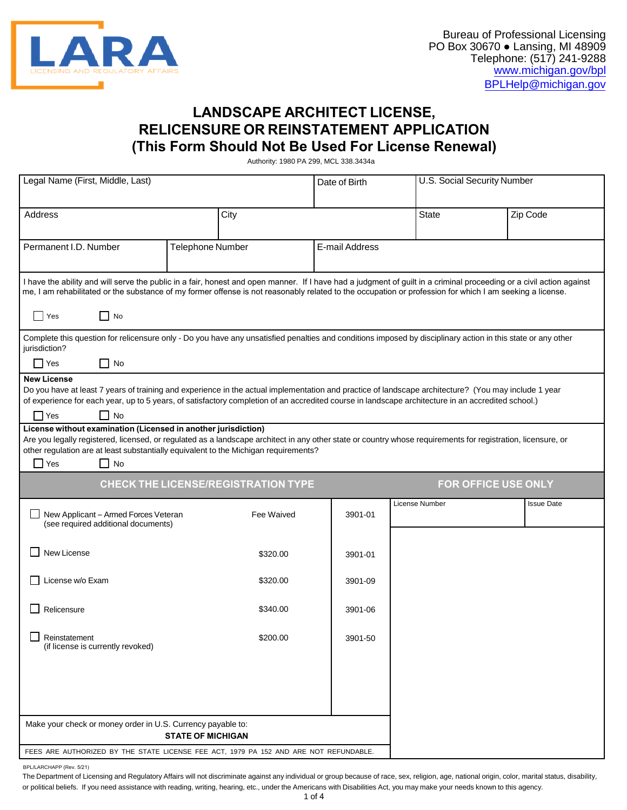

# **LANDSCAPE ARCHITECT LICENSE, RELICENSURE OR REINSTATEMENT APPLICATION (This Form Should Not Be Used For License Renewal)**

Authority: 1980 PA 299, MCL 338.3434a

| Legal Name (First, Middle, Last)                                                                                                                                                                                                                                                                                                                         |                          |            | Date of Birth  | U.S. Social Security Number |                   |  |  |
|----------------------------------------------------------------------------------------------------------------------------------------------------------------------------------------------------------------------------------------------------------------------------------------------------------------------------------------------------------|--------------------------|------------|----------------|-----------------------------|-------------------|--|--|
| <b>Address</b>                                                                                                                                                                                                                                                                                                                                           |                          | City       |                | <b>State</b>                | Zip Code          |  |  |
| Permanent I.D. Number                                                                                                                                                                                                                                                                                                                                    | Telephone Number         |            | E-mail Address |                             |                   |  |  |
| I have the ability and will serve the public in a fair, honest and open manner. If I have had a judgment of guilt in a criminal proceeding or a civil action against<br>me, I am rehabilitated or the substance of my former offense is not reasonably related to the occupation or profession for which I am seeking a license.                         |                          |            |                |                             |                   |  |  |
| $\Box$ No<br>Yes                                                                                                                                                                                                                                                                                                                                         |                          |            |                |                             |                   |  |  |
| Complete this question for relicensure only - Do you have any unsatisfied penalties and conditions imposed by disciplinary action in this state or any other<br>jurisdiction?                                                                                                                                                                            |                          |            |                |                             |                   |  |  |
| $\Box$ No<br>$\Box$ Yes                                                                                                                                                                                                                                                                                                                                  |                          |            |                |                             |                   |  |  |
| <b>New License</b><br>Do you have at least 7 years of training and experience in the actual implementation and practice of landscape architecture? (You may include 1 year<br>of experience for each year, up to 5 years, of satisfactory completion of an accredited course in landscape architecture in an accredited school.)<br>$\Box$ Yes<br>l I No |                          |            |                |                             |                   |  |  |
| License without examination (Licensed in another jurisdiction)<br>Are you legally registered, licensed, or regulated as a landscape architect in any other state or country whose requirements for registration, licensure, or<br>other regulation are at least substantially equivalent to the Michigan requirements?<br>$\Box$ Yes<br>$\Box$ No        |                          |            |                |                             |                   |  |  |
| <b>CHECK THE LICENSE/REGISTRATION TYPE</b><br><b>FOR OFFICE USE ONLY</b>                                                                                                                                                                                                                                                                                 |                          |            |                |                             |                   |  |  |
| New Applicant - Armed Forces Veteran<br>(see required additional documents)                                                                                                                                                                                                                                                                              |                          | Fee Waived | 3901-01        | License Number              | <b>Issue Date</b> |  |  |
| $\Box$ New License                                                                                                                                                                                                                                                                                                                                       |                          | \$320.00   | 3901-01        |                             |                   |  |  |
| License w/o Exam                                                                                                                                                                                                                                                                                                                                         |                          |            |                |                             |                   |  |  |
|                                                                                                                                                                                                                                                                                                                                                          |                          | \$320.00   | 3901-09        |                             |                   |  |  |
| Relicensure                                                                                                                                                                                                                                                                                                                                              |                          | \$340.00   | 3901-06        |                             |                   |  |  |
| Reinstatement<br>(if license is currently revoked)                                                                                                                                                                                                                                                                                                       |                          | \$200.00   | 3901-50        |                             |                   |  |  |
|                                                                                                                                                                                                                                                                                                                                                          |                          |            |                |                             |                   |  |  |
|                                                                                                                                                                                                                                                                                                                                                          |                          |            |                |                             |                   |  |  |
| Make your check or money order in U.S. Currency payable to:                                                                                                                                                                                                                                                                                              | <b>STATE OF MICHIGAN</b> |            |                |                             |                   |  |  |

BPL/LARCHAPP (Rev. 5/21)

The Department of Licensing and Regulatory Affairs will not discriminate against any individual or group because of race, sex, religion, age, national origin, color, marital status, disability, or political beliefs. If you need assistance with reading, writing, hearing, etc., under the Americans with Disabilities Act, you may make your needs known to this agency.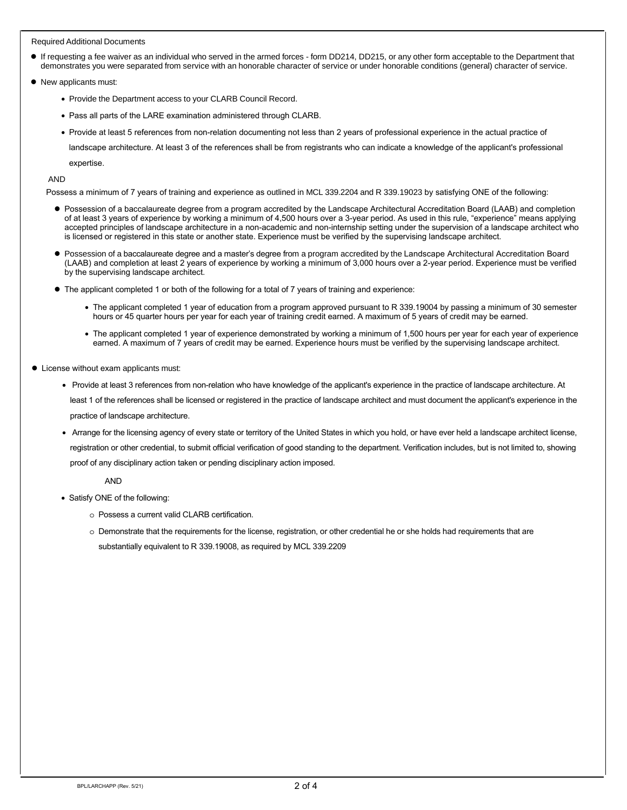#### Required Additional Documents

- If requesting a fee waiver as an individual who served in the armed forces form DD214, DD215, or any other form acceptable to the Department that demonstrates you were separated from service with an honorable character of service or under honorable conditions (general) character of service.
- New applicants must:
	- Provide the Department access to your CLARB Council Record.
	- Pass all parts of the LARE examination administered through CLARB.

• Provide at least 5 references from non-relation documenting not less than 2 years of professional experience in the actual practice of

landscape architecture. At least 3 of the references shall be from registrants who can indicate a knowledge of the applicant's professional expertise.

AND

Possess a minimum of 7 years of training and experience as outlined in MCL 339.2204 and R 339.19023 by satisfying ONE of the following:

- Possession of a baccalaureate degree from a program accredited by the Landscape Architectural Accreditation Board (LAAB) and completion of at least 3 years of experience by working a minimum of 4,500 hours over a 3-year period. As used in this rule, "experience" means applying accepted principles of landscape architecture in a non-academic and non-internship setting under the supervision of a landscape architect who is licensed or registered in this state or another state. Experience must be verified by the supervising landscape architect.
- Possession of a baccalaureate degree and a master's degree from a program accredited by the Landscape Architectural Accreditation Board (LAAB) and completion at least 2 years of experience by working a minimum of 3,000 hours over a 2-year period. Experience must be verified by the supervising landscape architect.
- The applicant completed 1 or both of the following for a total of 7 years of training and experience:
	- The applicant completed 1 year of education from a program approved pursuant to R 339.19004 by passing a minimum of 30 semester hours or 45 quarter hours per year for each year of training credit earned. A maximum of 5 years of credit may be earned.
	- The applicant completed 1 year of experience demonstrated by working a minimum of 1,500 hours per year for each year of experience earned. A maximum of 7 years of credit may be earned. Experience hours must be verified by the supervising landscape architect.
- License without exam applicants must:
	- Provide at least 3 references from non-relation who have knowledge of the applicant's experience in the practice of landscape architecture. At least 1 of the references shall be licensed or registered in the practice of landscape architect and must document the applicant's experience in the practice of landscape architecture.
	- Arrange for the licensing agency of every state or territory of the United States in which you hold, or have ever held a landscape architect license, registration or other credential, to submit official verification of good standing to the department. Verification includes, but is not limited to, showing proof of any disciplinary action taken or pending disciplinary action imposed.

AND

- Satisfy ONE of the following:
	- o Possess a current valid CLARB certification.
	- o Demonstrate that the requirements for the license, registration, or other credential he or she holds had requirements that are substantially equivalent to R 339.19008, as required by MCL 339.2209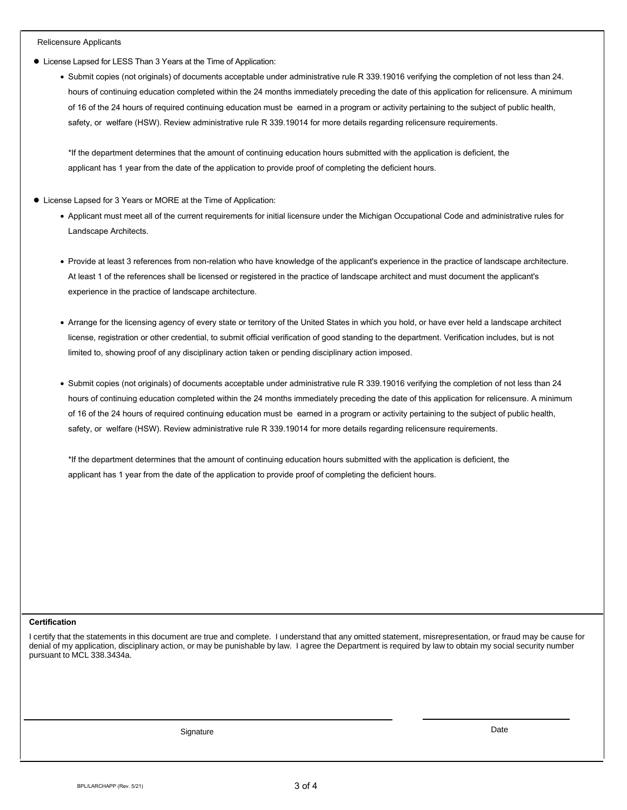#### Relicensure Applicants

- License Lapsed for LESS Than 3 Years at the Time of Application:
	- Submit copies (not originals) of documents acceptable under administrative rule R 339.19016 verifying the completion of not less than 24. hours of continuing education completed within the 24 months immediately preceding the date of this application for relicensure. A minimum of 16 of the 24 hours of required continuing education must be earned in a program or activity pertaining to the subject of public health, safety, or welfare (HSW). Review administrative rule R 339.19014 for more details regarding relicensure requirements.

\*If the department determines that the amount of continuing education hours submitted with the application is deficient, the applicant has 1 year from the date of the application to provide proof of completing the deficient hours.

- License Lapsed for 3 Years or MORE at the Time of Application:
	- Applicant must meet all of the current requirements for initial licensure under the Michigan Occupational Code and administrative rules for Landscape Architects.
	- Provide at least 3 references from non-relation who have knowledge of the applicant's experience in the practice of landscape architecture. At least 1 of the references shall be licensed or registered in the practice of landscape architect and must document the applicant's experience in the practice of landscape architecture.
	- Arrange for the licensing agency of every state or territory of the United States in which you hold, or have ever held a landscape architect license, registration or other credential, to submit official verification of good standing to the department. Verification includes, but is not limited to, showing proof of any disciplinary action taken or pending disciplinary action imposed.
	- Submit copies (not originals) of documents acceptable under administrative rule R 339.19016 verifying the completion of not less than 24 hours of continuing education completed within the 24 months immediately preceding the date of this application for relicensure. A minimum of 16 of the 24 hours of required continuing education must be earned in a program or activity pertaining to the subject of public health, safety, or welfare (HSW). Review administrative rule R 339.19014 for more details regarding relicensure requirements.

\*If the department determines that the amount of continuing education hours submitted with the application is deficient, the applicant has 1 year from the date of the application to provide proof of completing the deficient hours.

#### **Certification**

I certify that the statements in this document are true and complete. I understand that any omitted statement, misrepresentation, or fraud may be cause for denial of my application, disciplinary action, or may be punishable by law. I agree the Department is required by law to obtain my social security number pursuant to MCL 338.3434a.

Signature **Date**